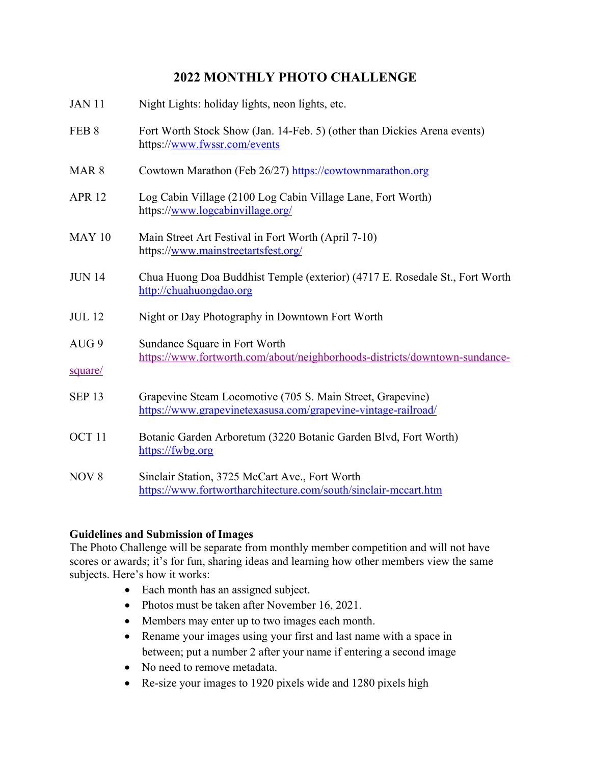## **2022 MONTHLY PHOTO CHALLENGE**

| <b>JAN 11</b>               | Night Lights: holiday lights, neon lights, etc.                                                                             |
|-----------------------------|-----------------------------------------------------------------------------------------------------------------------------|
| FEB <sub>8</sub>            | Fort Worth Stock Show (Jan. 14-Feb. 5) (other than Dickies Arena events)<br>https://www.fwssr.com/events                    |
| MAR <sub>8</sub>            | Cowtown Marathon (Feb 26/27) https://cowtownmarathon.org                                                                    |
| <b>APR 12</b>               | Log Cabin Village (2100 Log Cabin Village Lane, Fort Worth)<br>https://www.logcabinvillage.org/                             |
| <b>MAY 10</b>               | Main Street Art Festival in Fort Worth (April 7-10)<br>https://www.mainstreetartsfest.org/                                  |
| <b>JUN 14</b>               | Chua Huong Doa Buddhist Temple (exterior) (4717 E. Rosedale St., Fort Worth<br>http://chuahuongdao.org                      |
| <b>JUL 12</b>               | Night or Day Photography in Downtown Fort Worth                                                                             |
| AUG <sub>9</sub><br>square/ | Sundance Square in Fort Worth<br>https://www.fortworth.com/about/neighborhoods-districts/downtown-sundance-                 |
| <b>SEP 13</b>               | Grapevine Steam Locomotive (705 S. Main Street, Grapevine)<br>https://www.grapevinetexasusa.com/grapevine-vintage-railroad/ |
| OCT <sub>11</sub>           | Botanic Garden Arboretum (3220 Botanic Garden Blvd, Fort Worth)<br>https://fwbg.org                                         |
| NOV <sub>8</sub>            | Sinclair Station, 3725 McCart Ave., Fort Worth<br>https://www.fortwortharchitecture.com/south/sinclair-mccart.htm           |

## **Guidelines and Submission of Images**

The Photo Challenge will be separate from monthly member competition and will not have scores or awards; it's for fun, sharing ideas and learning how other members view the same subjects. Here's how it works:

- Each month has an assigned subject.
- Photos must be taken after November 16, 2021.
- Members may enter up to two images each month.
- Rename your images using your first and last name with a space in between; put a number 2 after your name if entering a second image
- No need to remove metadata.
- Re-size your images to 1920 pixels wide and 1280 pixels high